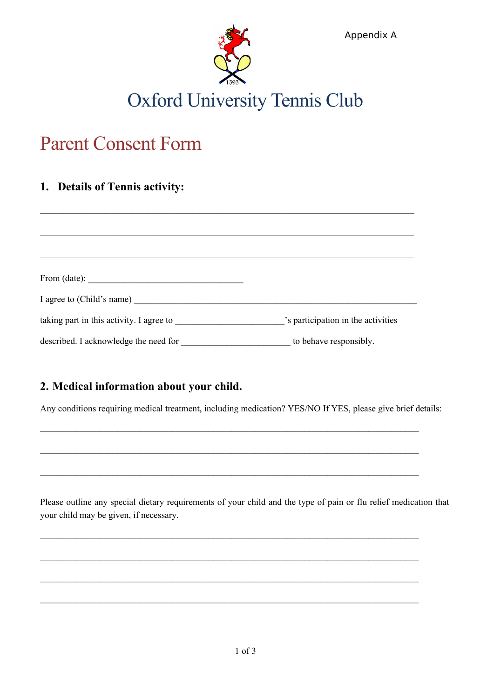

# Parent Consent Form

## **1. Details of Tennis activity:**

| From (date): $\qquad \qquad$             |                                    |
|------------------------------------------|------------------------------------|
|                                          |                                    |
| taking part in this activity. I agree to | 's participation in the activities |
| described. I acknowledge the need for    | to behave responsibly.             |

### **2. Medical information about your child.**

Any conditions requiring medical treatment, including medication? YES/NO If YES, please give brief details:

 $\mathcal{L}_\mathcal{L} = \{ \mathcal{L}_\mathcal{L} = \{ \mathcal{L}_\mathcal{L} = \{ \mathcal{L}_\mathcal{L} = \{ \mathcal{L}_\mathcal{L} = \{ \mathcal{L}_\mathcal{L} = \{ \mathcal{L}_\mathcal{L} = \{ \mathcal{L}_\mathcal{L} = \{ \mathcal{L}_\mathcal{L} = \{ \mathcal{L}_\mathcal{L} = \{ \mathcal{L}_\mathcal{L} = \{ \mathcal{L}_\mathcal{L} = \{ \mathcal{L}_\mathcal{L} = \{ \mathcal{L}_\mathcal{L} = \{ \mathcal{L}_\mathcal{$ 

 $\mathcal{L}_\mathcal{L} = \{ \mathcal{L}_\mathcal{L} = \{ \mathcal{L}_\mathcal{L} = \{ \mathcal{L}_\mathcal{L} = \{ \mathcal{L}_\mathcal{L} = \{ \mathcal{L}_\mathcal{L} = \{ \mathcal{L}_\mathcal{L} = \{ \mathcal{L}_\mathcal{L} = \{ \mathcal{L}_\mathcal{L} = \{ \mathcal{L}_\mathcal{L} = \{ \mathcal{L}_\mathcal{L} = \{ \mathcal{L}_\mathcal{L} = \{ \mathcal{L}_\mathcal{L} = \{ \mathcal{L}_\mathcal{L} = \{ \mathcal{L}_\mathcal{$ 

\_\_\_\_\_\_\_\_\_\_\_\_\_\_\_\_\_\_\_\_\_\_\_\_\_\_\_\_\_\_\_\_\_\_\_\_\_\_\_\_\_\_\_\_\_\_\_\_\_\_\_\_\_\_\_\_\_\_\_\_\_\_\_\_\_\_\_\_\_\_\_\_\_\_\_\_\_\_\_\_\_\_\_

 $\mathcal{L}_\mathcal{L} = \{ \mathcal{L}_\mathcal{L} = \{ \mathcal{L}_\mathcal{L} = \{ \mathcal{L}_\mathcal{L} = \{ \mathcal{L}_\mathcal{L} = \{ \mathcal{L}_\mathcal{L} = \{ \mathcal{L}_\mathcal{L} = \{ \mathcal{L}_\mathcal{L} = \{ \mathcal{L}_\mathcal{L} = \{ \mathcal{L}_\mathcal{L} = \{ \mathcal{L}_\mathcal{L} = \{ \mathcal{L}_\mathcal{L} = \{ \mathcal{L}_\mathcal{L} = \{ \mathcal{L}_\mathcal{L} = \{ \mathcal{L}_\mathcal{$ 

 $\mathcal{L}_\mathcal{L} = \{ \mathcal{L}_\mathcal{L} = \{ \mathcal{L}_\mathcal{L} = \{ \mathcal{L}_\mathcal{L} = \{ \mathcal{L}_\mathcal{L} = \{ \mathcal{L}_\mathcal{L} = \{ \mathcal{L}_\mathcal{L} = \{ \mathcal{L}_\mathcal{L} = \{ \mathcal{L}_\mathcal{L} = \{ \mathcal{L}_\mathcal{L} = \{ \mathcal{L}_\mathcal{L} = \{ \mathcal{L}_\mathcal{L} = \{ \mathcal{L}_\mathcal{L} = \{ \mathcal{L}_\mathcal{L} = \{ \mathcal{L}_\mathcal{$ 

 $\mathcal{L}_\mathcal{L} = \{ \mathcal{L}_\mathcal{L} = \{ \mathcal{L}_\mathcal{L} = \{ \mathcal{L}_\mathcal{L} = \{ \mathcal{L}_\mathcal{L} = \{ \mathcal{L}_\mathcal{L} = \{ \mathcal{L}_\mathcal{L} = \{ \mathcal{L}_\mathcal{L} = \{ \mathcal{L}_\mathcal{L} = \{ \mathcal{L}_\mathcal{L} = \{ \mathcal{L}_\mathcal{L} = \{ \mathcal{L}_\mathcal{L} = \{ \mathcal{L}_\mathcal{L} = \{ \mathcal{L}_\mathcal{L} = \{ \mathcal{L}_\mathcal{$ 

 $\mathcal{L}_\mathcal{L} = \{ \mathcal{L}_\mathcal{L} = \{ \mathcal{L}_\mathcal{L} = \{ \mathcal{L}_\mathcal{L} = \{ \mathcal{L}_\mathcal{L} = \{ \mathcal{L}_\mathcal{L} = \{ \mathcal{L}_\mathcal{L} = \{ \mathcal{L}_\mathcal{L} = \{ \mathcal{L}_\mathcal{L} = \{ \mathcal{L}_\mathcal{L} = \{ \mathcal{L}_\mathcal{L} = \{ \mathcal{L}_\mathcal{L} = \{ \mathcal{L}_\mathcal{L} = \{ \mathcal{L}_\mathcal{L} = \{ \mathcal{L}_\mathcal{$ 

Please outline any special dietary requirements of your child and the type of pain or flu relief medication that your child may be given, if necessary.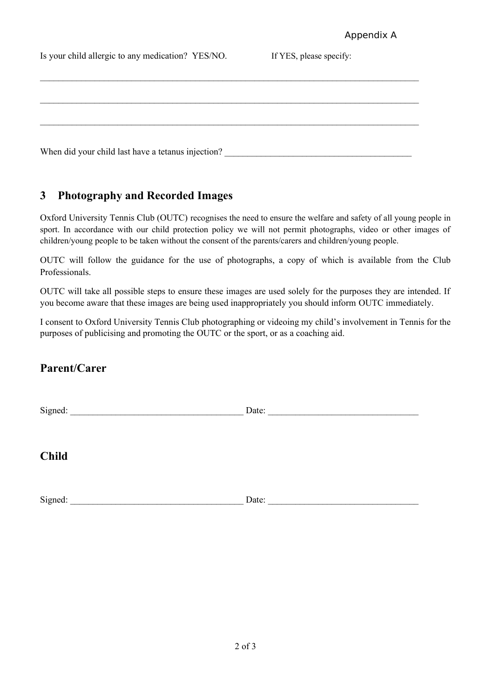| Is your child allergic to any medication? YES/NO.  | If YES, please specify: |  |
|----------------------------------------------------|-------------------------|--|
|                                                    |                         |  |
|                                                    |                         |  |
|                                                    |                         |  |
|                                                    |                         |  |
| When did your child last have a tetanus injection? |                         |  |

### **3 Photography and Recorded Images**

Oxford University Tennis Club (OUTC) recognises the need to ensure the welfare and safety of all young people in sport. In accordance with our child protection policy we will not permit photographs, video or other images of children/young people to be taken without the consent of the parents/carers and children/young people.

OUTC will follow the guidance for the use of photographs, a copy of which is available from the Club Professionals.

OUTC will take all possible steps to ensure these images are used solely for the purposes they are intended. If you become aware that these images are being used inappropriately you should inform OUTC immediately.

I consent to Oxford University Tennis Club photographing or videoing my child's involvement in Tennis for the purposes of publicising and promoting the OUTC or the sport, or as a coaching aid.

### **Parent/Carer**

| Signed:      | Date: |
|--------------|-------|
|              |       |
| <b>Child</b> |       |
| Signed:      | Date: |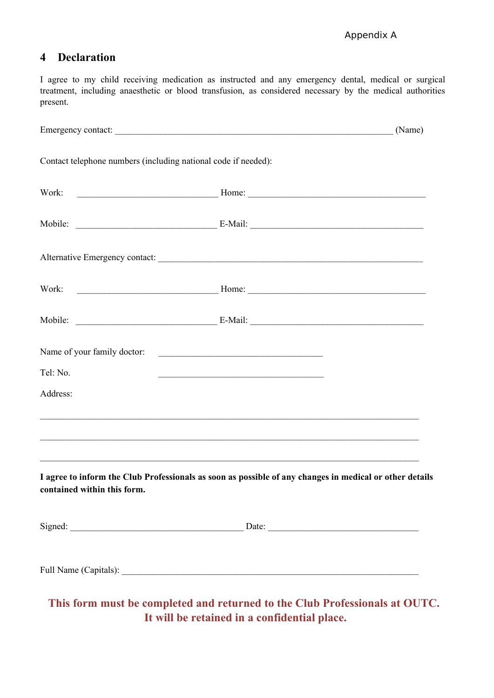#### **4 Declaration**

I agree to my child receiving medication as instructed and any emergency dental, medical or surgical treatment, including anaesthetic or blood transfusion, as considered necessary by the medical authorities present.

|                                                                | Emergency contact: (Name) (Name)                                                                                                                                             |  |
|----------------------------------------------------------------|------------------------------------------------------------------------------------------------------------------------------------------------------------------------------|--|
| Contact telephone numbers (including national code if needed): |                                                                                                                                                                              |  |
|                                                                |                                                                                                                                                                              |  |
|                                                                |                                                                                                                                                                              |  |
|                                                                | Alternative Emergency contact:                                                                                                                                               |  |
|                                                                |                                                                                                                                                                              |  |
|                                                                |                                                                                                                                                                              |  |
| Name of your family doctor:                                    |                                                                                                                                                                              |  |
| Tel: No.                                                       | <u> 1989 - Johann John Stein, markin fan it ferskearre fan it ferskearre fan it ferskearre fan it ferskearre fan</u>                                                         |  |
| Address:                                                       |                                                                                                                                                                              |  |
|                                                                | ,我们也不会有什么。""我们的人,我们也不会有什么?""我们的人,我们也不会有什么?""我们的人,我们也不会有什么?""我们的人,我们也不会有什么?""我们的人                                                                                             |  |
| contained within this form.                                    | <u> 1989 - Johann John Stone, mars and deutscher Stone (1989)</u><br>I agree to inform the Club Professionals as soon as possible of any changes in medical or other details |  |
|                                                                |                                                                                                                                                                              |  |
|                                                                |                                                                                                                                                                              |  |

**This form must be completed and returned to the Club Professionals at OUTC. It will be retained in a confidential place.**